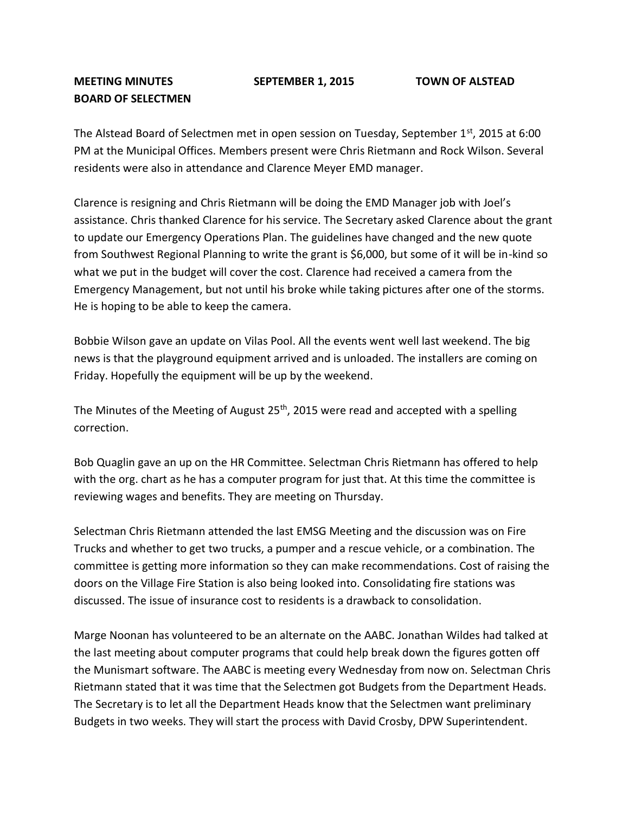## **MEETING MINUTES SEPTEMBER 1, 2015 TOWN OF ALSTEAD BOARD OF SELECTMEN**

The Alstead Board of Selectmen met in open session on Tuesday, September 1<sup>st</sup>, 2015 at 6:00 PM at the Municipal Offices. Members present were Chris Rietmann and Rock Wilson. Several residents were also in attendance and Clarence Meyer EMD manager.

Clarence is resigning and Chris Rietmann will be doing the EMD Manager job with Joel's assistance. Chris thanked Clarence for his service. The Secretary asked Clarence about the grant to update our Emergency Operations Plan. The guidelines have changed and the new quote from Southwest Regional Planning to write the grant is \$6,000, but some of it will be in-kind so what we put in the budget will cover the cost. Clarence had received a camera from the Emergency Management, but not until his broke while taking pictures after one of the storms. He is hoping to be able to keep the camera.

Bobbie Wilson gave an update on Vilas Pool. All the events went well last weekend. The big news is that the playground equipment arrived and is unloaded. The installers are coming on Friday. Hopefully the equipment will be up by the weekend.

The Minutes of the Meeting of August  $25<sup>th</sup>$ , 2015 were read and accepted with a spelling correction.

Bob Quaglin gave an up on the HR Committee. Selectman Chris Rietmann has offered to help with the org. chart as he has a computer program for just that. At this time the committee is reviewing wages and benefits. They are meeting on Thursday.

Selectman Chris Rietmann attended the last EMSG Meeting and the discussion was on Fire Trucks and whether to get two trucks, a pumper and a rescue vehicle, or a combination. The committee is getting more information so they can make recommendations. Cost of raising the doors on the Village Fire Station is also being looked into. Consolidating fire stations was discussed. The issue of insurance cost to residents is a drawback to consolidation.

Marge Noonan has volunteered to be an alternate on the AABC. Jonathan Wildes had talked at the last meeting about computer programs that could help break down the figures gotten off the Munismart software. The AABC is meeting every Wednesday from now on. Selectman Chris Rietmann stated that it was time that the Selectmen got Budgets from the Department Heads. The Secretary is to let all the Department Heads know that the Selectmen want preliminary Budgets in two weeks. They will start the process with David Crosby, DPW Superintendent.